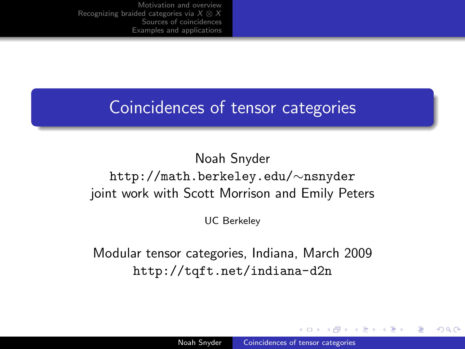## Coincidences of tensor categories

### Noah Snyder http://math.berkeley.edu/∼nsnyder joint work with Scott Morrison and Emily Peters

UC Berkeley

Modular tensor categories, Indiana, March 2009 <http://tqft.net/indiana-d2n>

<span id="page-0-0"></span>-4596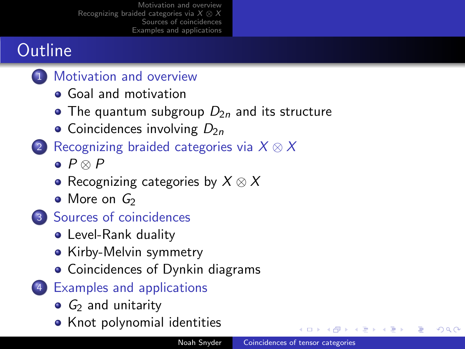# **Outline**

- 1 [Motivation and overview](#page-2-0)
	- **[Goal and motivation](#page-2-0)**
	- [The quantum subgroup](#page-5-0)  $D_{2n}$  and its structure
	- [Coincidences involving](#page-10-0)  $D_{2n}$
- 2 [Recognizing braided categories via](#page-11-0)  $X \otimes X$ 
	- $\bullet$  P  $\otimes$  P
	- [Recognizing categories by](#page-13-0)  $X \otimes X$
	- $\bullet$  [More on](#page-15-0)  $G_2$
- 3 [Sources of coincidences](#page-17-0)
	- [Level-Rank duality](#page-19-0)
	- [Kirby-Melvin symmetry](#page-22-0)
	- **[Coincidences of Dynkin diagrams](#page-23-0)**
- 4 [Examples and applications](#page-24-0)
	- $\bullet$   $G_2$  [and unitarity](#page-25-0)
	- [Knot polynomial identities](#page-27-0)

◂□▸ ◂<del>Π</del> ▸

- 4 国 ド

ミト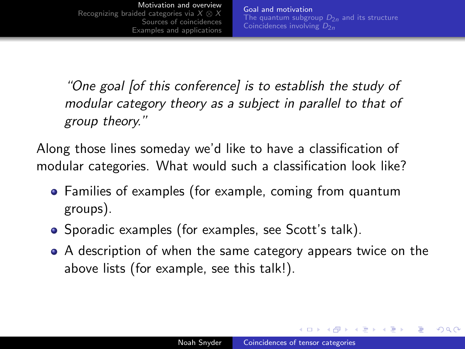[Goal and motivation](#page-2-0) [The quantum subgroup](#page-5-0)  $D_{2n}$  and its structure [Coincidences involving](#page-10-0)  $D_{2n}$ 

"One goal [of this conference] is to establish the study of modular category theory as a subject in parallel to that of group theory."

Along those lines someday we'd like to have a classification of modular categories. What would such a classification look like?

- Families of examples (for example, coming from quantum groups).
- Sporadic examples (for examples, see Scott's talk).
- A description of when the same category appears twice on the above lists (for example, see this talk!).

<span id="page-2-0"></span>イロト イタト イモト イモト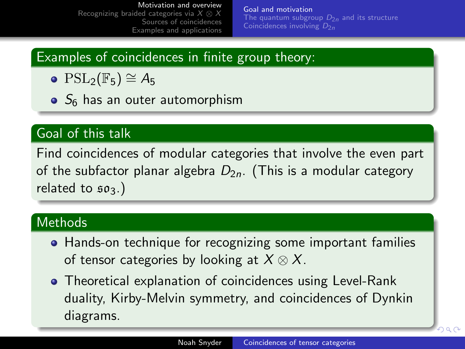[Goal and motivation](#page-2-0) [The quantum subgroup](#page-5-0)  $D_{2n}$  and its structure [Coincidences involving](#page-10-0)  $D_{2n}$ 

### Examples of coincidences in finite group theory:

- $\bullet$  PSL<sub>2</sub>(F<sub>5</sub>) ≅ A<sub>5</sub>
- $\bullet$   $S_6$  has an outer automorphism

### Goal of this talk

Find coincidences of modular categories that involve the even part of the subfactor planar algebra  $D_{2n}$ . (This is a modular category related to  $503.$ )

#### Methods

- Hands-on technique for recognizing some important families of tensor categories by looking at  $X \otimes X$ .
- Theoretical explanation of coincidences using Level-Rank duality, Kirby-Melvin symmetry, and coincidences of Dynkin diagrams.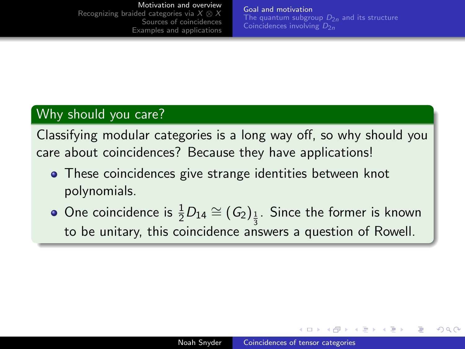[Goal and motivation](#page-2-0) [The quantum subgroup](#page-5-0)  $D_{2n}$  and its structure [Coincidences involving](#page-10-0)  $D_{2n}$ 

### Why should you care?

Classifying modular categories is a long way off, so why should you care about coincidences? Because they have applications!

- **•** These coincidences give strange identities between knot polynomials.
- One coincidence is  $\frac{1}{2}D_{14}\cong (G_2)_{\frac{1}{3}}$ . Since the former is known 3 to be unitary, this coincidence answers a question of Rowell.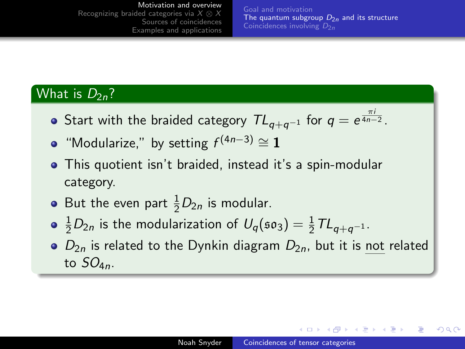[Goal and motivation](#page-2-0) [The quantum subgroup](#page-5-0)  $D_{2n}$  and its structure [Coincidences involving](#page-10-0)  $D_{2n}$ 

#### What is  $D_{2n}$ ?

- Start with the braided category  $\mathcal{TL}_{q+q^{-1}}$  for  $q=e^{\frac{\pi i}{4n-2}}.$
- "Modularize," by setting  $f^{(4n-3)} \cong 1$
- This quotient isn't braided, instead it's a spin-modular category.
- But the even part  $\frac{1}{2}D_{2n}$  is modular.
- $\frac{1}{2}D_{2n}$  is the modularization of  $U_q(\mathfrak{so}_3) = \frac{1}{2}TL_{q+q^{-1}}$ .
- $\bullet$   $D_{2n}$  is related to the Dynkin diagram  $D_{2n}$ , but it is not related to  $SO_{4n}$ .

<span id="page-5-0"></span>∢ロト ∢母ト ∢ヨト ∢ヨト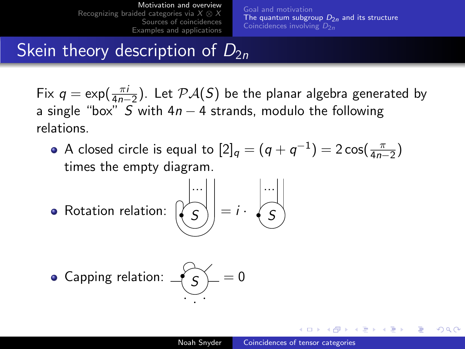[Goal and motivation](#page-2-0) [The quantum subgroup](#page-5-0)  $D_{2n}$  and its structure [Coincidences involving](#page-10-0)  $D_{2n}$ 

# Skein theory description of  $D_{2n}$

Fix  $q = \exp(\frac{\pi i}{4n-2})$ . Let  $\mathcal{P} \mathcal{A}(S)$  be the planar algebra generated by a single "box" S with  $4n - 4$  strands, modulo the following relations.

- A closed circle is equal to  $[2]_q=(q+q^{-1})=2\cos(\frac{\pi}{4n-2})$ times the empty diagram.
- Rotation relation:  $\left(\right)$

$$
\begin{pmatrix} \dots \\ S \end{pmatrix} = i \cdot \begin{pmatrix} \dots \\ S \end{pmatrix}
$$

• Capping relation: 
$$
\underbrace{\cdot \cdot \cdot}_{\cdot \cdot \cdot} = 0
$$

→ イ冊 ト イヨ ト イヨ ト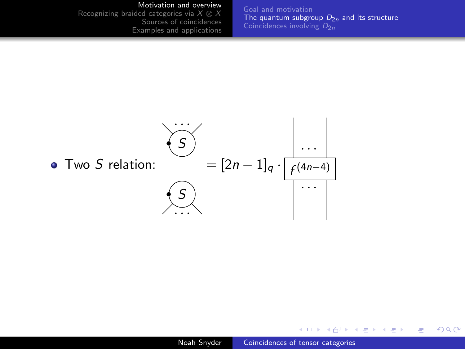#### [Motivation and overview](#page-2-0)

[Recognizing braided categories via](#page-11-0)  $X \otimes X$ [Sources of coincidences](#page-17-0) [Examples and applications](#page-24-0) [Goal and motivation](#page-2-0) [The quantum subgroup](#page-5-0)  $D_{2n}$  and its structure [Coincidences involving](#page-10-0)  $D_{2n}$ 



**K ロ ト K 何 ト K ヨ** 

 $\rightarrow$  $\leftarrow$   $\equiv$ **D** ∍  $2Q$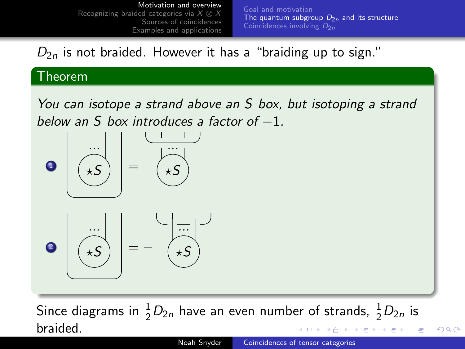[Goal and motivation](#page-2-0) [The quantum subgroup](#page-5-0)  $D_{2n}$  and its structure [Coincidences involving](#page-10-0)  $D_{2n}$ 

 $D_{2n}$  is not braided. However it has a "braiding up to sign."

#### Theorem

You can isotope a strand above an S box, but isotoping a strand below an S box introduces a factor of  $-1$ .



Since diagrams in  $\frac{1}{2}D_{2n}$  have an even number of strands,  $\frac{1}{2}D_{2n}$  is braided. ∢ロト ∢母ト ∢ヨト ∢ヨト

 $QQ$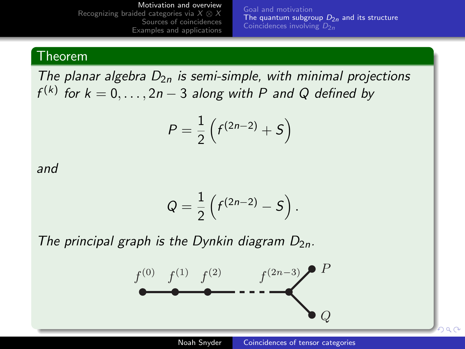[Goal and motivation](#page-2-0) [The quantum subgroup](#page-5-0)  $D_{2n}$  and its structure [Coincidences involving](#page-10-0)  $D_{2n}$ 

#### Theorem

The planar algebra  $D_{2n}$  is semi-simple, with minimal projections  $f^{(k)}$  for  $k = 0, \ldots, 2n - 3$  along with P and Q defined by

$$
P=\frac{1}{2}\left(f^{(2n-2)}+S\right)
$$

and

$$
Q=\frac{1}{2}\left(f^{(2n-2)}-S\right).
$$

The principal graph is the Dynkin diagram  $D_{2n}$ .

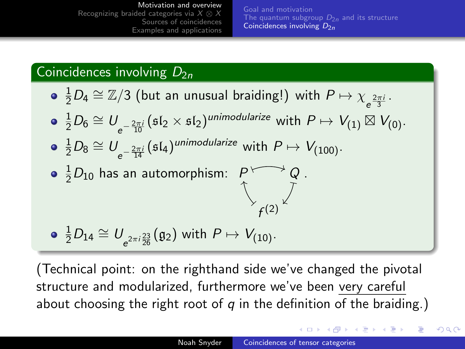[Goal and motivation](#page-2-0) [The quantum subgroup](#page-5-0)  $D_{2n}$  and its structure [Coincidences involving](#page-10-0)  $D_{2n}$ 

### Coincidences involving  $D_{2n}$

- $\frac{1}{2}D_4\cong \mathbb{Z}/3$  (but an unusual braiding!) with  $P\mapsto \chi_{e^{\frac{2\pi i}{3}}}.$
- $\frac{1}{2}D_6\cong U_{\frac{2\pi i}{10}}(\mathfrak{sl}_2\times \mathfrak{sl}_2)^{\text{unimodularize}}$  with  $P\mapsto V_{(1)}\boxtimes V_{(0)}.$
- $\frac{1}{2}D_8\cong U_{e^{-\frac{2\pi i}{14}}}( \mathfrak{sl}_4) ^{unimodularize}$  with  $P\mapsto V_{(100)}.$  $e^{-\frac{1}{14}}$

 $\frac{1}{2}D_{10}$  has an automorphism:  $\begin{array}{cc} P \longmapsto Q \ \uparrow \end{array}$ )  $Q \longmapsto Q$  .

$$
\bullet \ \frac{1}{2}D_{14} \cong U_{e^{2\pi i \frac{23}{26}}}(\mathfrak{g}_2) \text{ with } P \mapsto V_{(10)}.
$$

(Technical point: on the righthand side we've changed the pivotal structure and modularized, furthermore we've been very careful about choosing the right root of  $q$  in the definition of the braiding.)

∢ ロ ⊁ ( 何 ) ( ミ ) ( ミ ) 。

<span id="page-10-0"></span>つくい

 $\overline{ }$ 

f  $\begin{matrix} \times \\ f(2) \end{matrix}$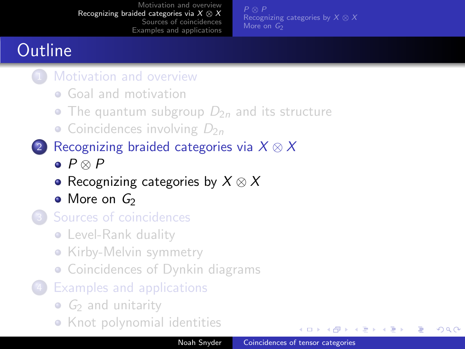[Recognizing categories by](#page-13-0)  $X \otimes X$ [More on](#page-15-0)  $G<sub>2</sub>$ 

**←ロ ▶ ← ← 冊 ▶** 

化重复 化重变

<span id="page-11-0"></span>つくい

# **Outline**

- [Motivation and overview](#page-2-0)
	- **[Goal and motivation](#page-2-0)**
	- [The quantum subgroup](#page-5-0)  $D_{2n}$  and its structure
	- [Coincidences involving](#page-10-0)  $D_{2n}$
- 2 [Recognizing braided categories via](#page-11-0)  $X \otimes X$ 
	- $\bullet$  P  $\otimes$  P
	- [Recognizing categories by](#page-13-0)  $X \otimes X$
	- $\bullet$  [More on](#page-15-0)  $G_2$
- 3 [Sources of coincidences](#page-17-0)
	- **•** [Level-Rank duality](#page-19-0)
	- [Kirby-Melvin symmetry](#page-22-0)
	- **[Coincidences of Dynkin diagrams](#page-23-0)**
- **[Examples and applications](#page-24-0)** 
	- $\bullet$   $G_2$  [and unitarity](#page-25-0)
	- **•** [Knot polynomial identities](#page-27-0)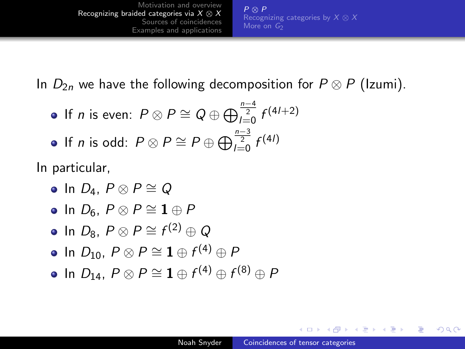P ⊗ P [Recognizing categories by](#page-13-0)  $X \otimes X$ [More on](#page-15-0)  $G<sub>2</sub>$ 

In  $D_{2n}$  we have the following decomposition for  $P \otimes P$  (Izumi).

If *n* is even:  $P \otimes P \cong Q \oplus \bigoplus_{l=0}^{\frac{n-4}{2}} f^{(4l+2)}$ If *n* is odd:  $P \otimes P \cong P \oplus \bigoplus_{l=0}^{\frac{n-3}{2}}f^{(4l)}$ 

In particular,

- $\bullet$  In  $D_4$ ,  $P \otimes P \cong Q$
- $\bullet$  In  $D_6$ ,  $P \otimes P \cong \mathbf{1} \oplus P$
- In  $D_8$ ,  $P \otimes P \cong f^{(2)} \oplus Q$
- In  $D_{10}$ ,  $P\otimes P\cong {\bf 1}\oplus f^{(4)}\oplus P$
- In  $D_{14}$ ,  $P \otimes P \cong \mathbf{1} \oplus f^{(4)} \oplus f^{(8)} \oplus P$

<span id="page-12-0"></span>→ (母) → → ヨ) → → ヨ) →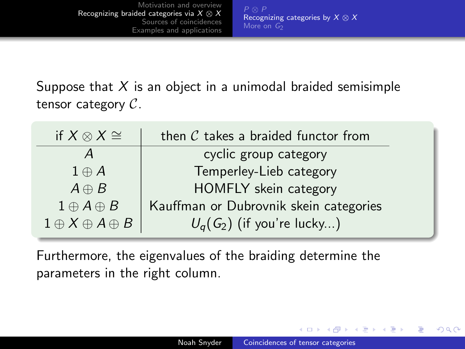[Recognizing categories by](#page-13-0)  $X \otimes X$ [More on](#page-15-0)  $G<sub>2</sub>$ 

Suppose that  $X$  is an object in a unimodal braided semisimple tensor category  $C$ .

| if $X \otimes X \cong$         | then $C$ takes a braided functor from  |
|--------------------------------|----------------------------------------|
|                                | cyclic group category                  |
| $1 \oplus A$                   | Temperley-Lieb category                |
| $A \oplus B$                   | HOMFLY skein category                  |
| $1 \oplus A \oplus B$          | Kauffman or Dubrovnik skein categories |
| $1 \oplus X \oplus A \oplus B$ | $U_q(G_2)$ (if you're lucky)           |

Furthermore, the eigenvalues of the braiding determine the parameters in the right column.

**∢ロ ▶ ∢伺 ▶ ∢∃ ▶** 

<span id="page-13-0"></span> $\Omega$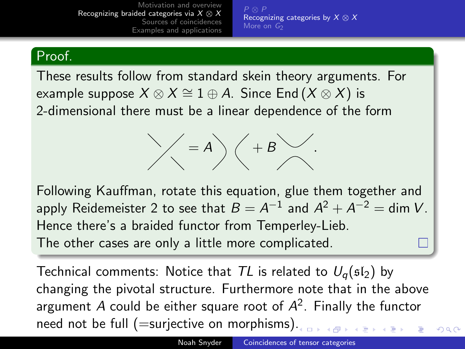[Recognizing categories by](#page-13-0)  $X \otimes X$ [More on](#page-15-0)  $G<sub>2</sub>$ 

### Proof.

These results follow from standard skein theory arguments. For example suppose  $X \otimes X \cong 1 \oplus A$ . Since End  $(X \otimes X)$  is 2-dimensional there must be a linear dependence of the form

$$
\angle A = A \setminus A \setminus B \setminus A
$$

Following Kauffman, rotate this equation, glue them together and apply Reidemeister 2 to see that  $B=A^{-1}$  and  $A^2+A^{-2}=\mathsf{dim}\ V.$ Hence there's a braided functor from Temperley-Lieb. The other cases are only a little more complicated.

Technical comments: Notice that TL is related to  $U_q(\mathfrak{sl}_2)$  by changing the pivotal structure. Furthermore note that in the above argument A could be either square root of  $A^2$ . Finally the functor need not be full (=surjective on morphisms)[.](#page-13-0)

 $290$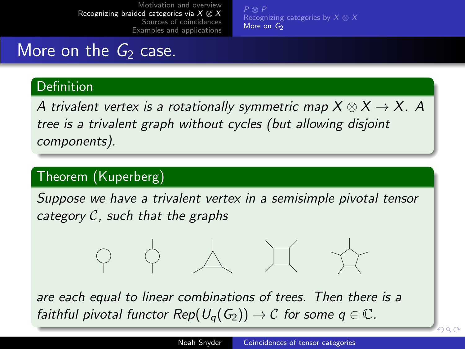<span id="page-15-0"></span>[Recognizing categories by](#page-13-0)  $X \otimes X$ [More on](#page-15-0)  $G_2$ 

## More on the  $G_2$  case.

#### Definition

A trivalent vertex is a rotationally symmetric map  $X \otimes X \rightarrow X$ . A tree is a trivalent graph without cycles (but allowing disjoint components).

### Theorem (Kuperberg)

Suppose we have a trivalent vertex in a semisimple pivotal tensor category  $C$ , such that the graphs

are each equal to linear combinations of trees. Then there is a faithful pivotal functor Rep( $U_q(G_2)$ )  $\rightarrow$  C for some  $q \in \mathbb{C}$ .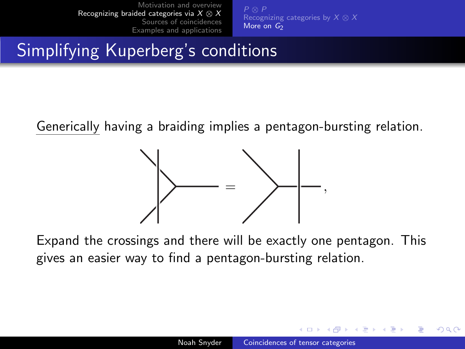[Recognizing categories by](#page-13-0)  $X \otimes X$ [More on](#page-15-0)  $G_2$ 

# Simplifying Kuperberg's conditions

Generically having a braiding implies a pentagon-bursting relation.



Expand the crossings and there will be exactly one pentagon. This gives an easier way to find a pentagon-bursting relation.

4 17 18

化重变 化重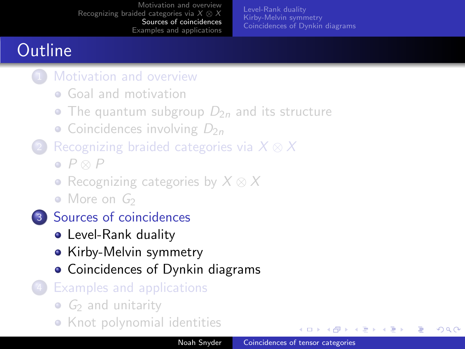[Level-Rank duality](#page-19-0) [Kirby-Melvin symmetry](#page-22-0) [Coincidences of Dynkin diagrams](#page-23-0)

# **Outline**

- **[Motivation and overview](#page-2-0)** 
	- **[Goal and motivation](#page-2-0)**
	- [The quantum subgroup](#page-5-0)  $D_{2n}$  and its structure
	- [Coincidences involving](#page-10-0)  $D_{2n}$
- [Recognizing braided categories via](#page-11-0)  $X \otimes X$ 
	- $\bullet$   $P \otimes P$
	- [Recognizing categories by](#page-13-0)  $X \otimes X$
	- $\bullet$  [More on](#page-15-0)  $G_2$
- 3 [Sources of coincidences](#page-17-0)
	- **•** [Level-Rank duality](#page-19-0)
	- [Kirby-Melvin symmetry](#page-22-0)
	- [Coincidences of Dynkin diagrams](#page-23-0)
	- **[Examples and applications](#page-24-0)** 
		- $\bullet$   $G_2$  [and unitarity](#page-25-0)
		- **•** [Knot polynomial identities](#page-27-0)

**←ロ ▶ ← ← 冊 ▶** 

<span id="page-17-0"></span>化重复 化重变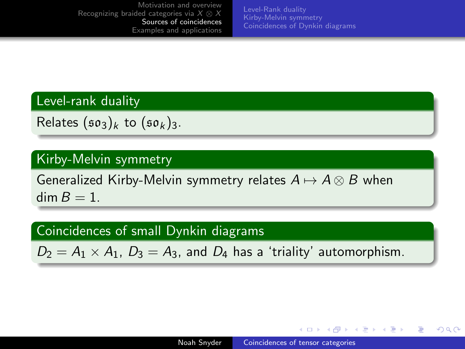[Level-Rank duality](#page-19-0) [Kirby-Melvin symmetry](#page-22-0) [Coincidences of Dynkin diagrams](#page-23-0)

#### Level-rank duality

Relates  $(\mathfrak{so}_3)_k$  to  $(\mathfrak{so}_k)_3$ .

#### Kirby-Melvin symmetry

Generalized Kirby-Melvin symmetry relates  $A \mapsto A \otimes B$  when  $\dim B = 1$ .

### Coincidences of small Dynkin diagrams

 $D_2 = A_1 \times A_1$ ,  $D_3 = A_3$ , and  $D_4$  has a 'triality' automorphism.

<span id="page-18-0"></span>メロメ メ母メ メミメ メミメ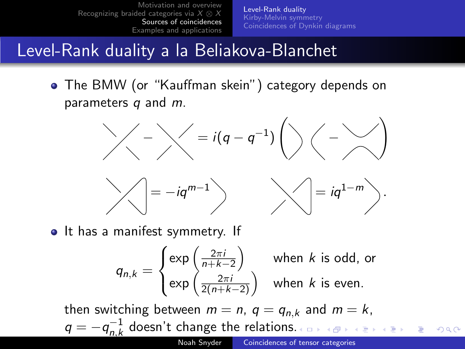[Level-Rank duality](#page-19-0) [Kirby-Melvin symmetry](#page-22-0) [Coincidences of Dynkin diagrams](#page-23-0)

### Level-Rank duality a la Beliakova-Blanchet

The BMW (or "Kauffman skein") category depends on parameters  $q$  and  $m$ .

− = i(q − q −1 ) − !





• It has a manifest symmetry. If

<span id="page-19-0"></span>
$$
q_{n,k} = \begin{cases} \exp\left(\frac{2\pi i}{n+k-2}\right) & \text{when } k \text{ is odd, or} \\ \exp\left(\frac{2\pi i}{2(n+k-2)}\right) & \text{when } k \text{ is even.} \end{cases}
$$

then switching between  $m = n$ ,  $q = q_{n,k}$  and  $m = k$ ,  $q = -q_{n,k}^{-1}$  $n,k$  doesn't change the relations[.](#page-18-0)  $QQ$ Noah Snyder [Coincidences of tensor categories](#page-0-0)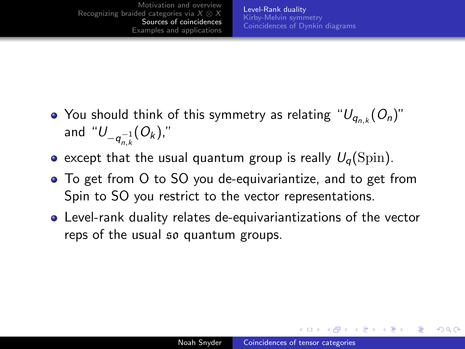- You should think of this symmetry as relating  $\lq \cup_{q_{n,k}}(O_n)^n$ and " $U_{-q_{n,k}^{-1}}(O_k)$ ,"
- except that the usual quantum group is really  $U_q(Spin)$ .
- To get from O to SO you de-equivariantize, and to get from Spin to SO you restrict to the vector representations.
- Level-rank duality relates de-equivariantizations of the vector reps of the usual so quantum groups.

イロメ イタメ イモメ イモ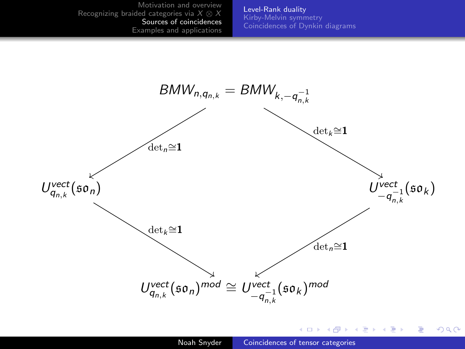[Level-Rank duality](#page-19-0) [Kirby-Melvin symmetry](#page-22-0) [Coincidences of Dynkin diagrams](#page-23-0)



イロン イ何ン イヨン イヨン

E

つくへ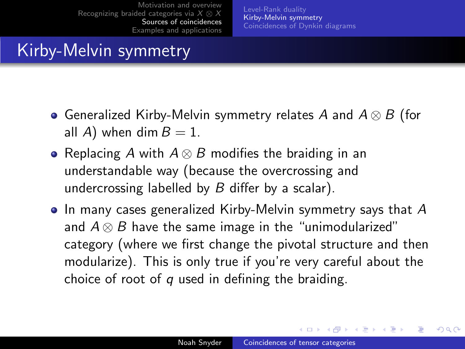[Level-Rank duality](#page-19-0) [Kirby-Melvin symmetry](#page-22-0) [Coincidences of Dynkin diagrams](#page-23-0)

# Kirby-Melvin symmetry

- Generalized Kirby-Melvin symmetry relates A and  $A \otimes B$  (for all A) when dim  $B = 1$ .
- Replacing A with  $A \otimes B$  modifies the braiding in an understandable way (because the overcrossing and undercrossing labelled by  $B$  differ by a scalar).
- $\bullet$  In many cases generalized Kirby-Melvin symmetry says that A and  $A \otimes B$  have the same image in the "unimodularized" category (where we first change the pivotal structure and then modularize). This is only true if you're very careful about the choice of root of  $q$  used in defining the braiding.

<span id="page-22-0"></span>∢ロト ∢母ト ∢ヨト ∢ヨト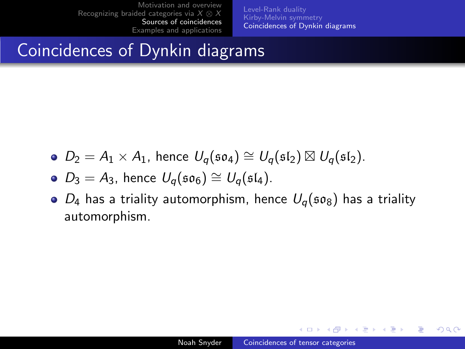[Level-Rank duality](#page-19-0) [Kirby-Melvin symmetry](#page-22-0) [Coincidences of Dynkin diagrams](#page-23-0)

# Coincidences of Dynkin diagrams

 $D_2 = A_1 \times A_1$ , hence  $U_q(\mathfrak{so}_4) \cong U_q(\mathfrak{sl}_2) \boxtimes U_q(\mathfrak{sl}_2)$ .

• 
$$
D_3 = A_3
$$
, hence  $U_q(\mathfrak{so}_6) \cong U_q(\mathfrak{sl}_4)$ .

 $\bullet$   $D_4$  has a triality automorphism, hence  $U_q$ (50<sub>8</sub>) has a triality automorphism.

メロメ メ母メ メラメメラメー

<span id="page-23-0"></span> $\Omega$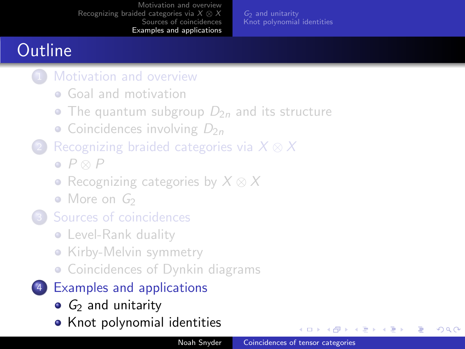$G<sub>2</sub>$  [and unitarity](#page-25-0) [Knot polynomial identities](#page-27-0)

# **Outline**

- [Motivation and overview](#page-2-0)
	- **[Goal and motivation](#page-2-0)**
	- [The quantum subgroup](#page-5-0)  $D_{2n}$  and its structure
	- [Coincidences involving](#page-10-0)  $D_{2n}$
- [Recognizing braided categories via](#page-11-0)  $X \otimes X$ 
	- $\bullet$   $P \otimes P$
	- [Recognizing categories by](#page-13-0)  $X \otimes X$
	- $\bullet$  [More on](#page-15-0)  $G_2$
- 3 [Sources of coincidences](#page-17-0)
	- **•** [Level-Rank duality](#page-19-0)
	- [Kirby-Melvin symmetry](#page-22-0)
	- **[Coincidences of Dynkin diagrams](#page-23-0)**
- 4 [Examples and applications](#page-24-0)
	- $\bullet$   $G_2$  [and unitarity](#page-25-0)
	- [Knot polynomial identities](#page-27-0)

**←ロ ▶ ← ← 冊 ▶** 

<span id="page-24-0"></span>ほう メラう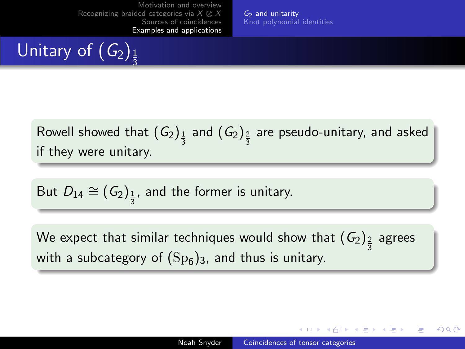$G_2$  [and unitarity](#page-25-0) [Knot polynomial identities](#page-27-0)

#### Unitary of  $(G_2)_1$ 3

Rowell showed that  $(G_2)_{\frac{1}{3}}$  and  $(G_2)_{\frac{2}{3}}$  are pseudo-unitary, and asked if they were unitary.

But 
$$
D_{14} \cong (G_2)_{\frac{1}{3}}
$$
, and the former is unitary.

We expect that similar techniques would show that  $(\mathit{G}_{2})_{\frac{2}{3}}$  agrees with a subcategory of  $({\rm Sp}_6)_3$ , and thus is unitary.

<span id="page-25-0"></span> $\leftarrow$   $\leftarrow$   $\leftarrow$   $\leftarrow$   $\leftarrow$   $\leftarrow$   $\leftarrow$   $\leftarrow$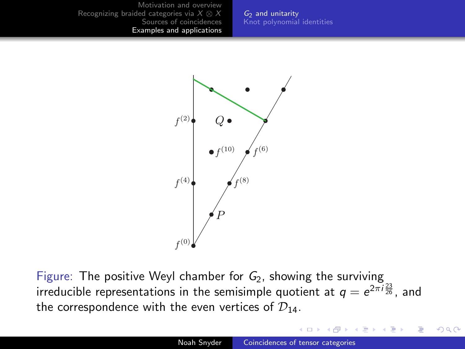$G_2$  [and unitarity](#page-25-0) [Knot polynomial identities](#page-27-0)



Figure: The positive Weyl chamber for  $G_2$ , showing the surviving irreducible representations in the semisimple quotient at  $q=e^{2\pi i \frac{23}{26}}$ , and the correspondence with the even vertices of  $\mathcal{D}_{14}$ .

 $QQ$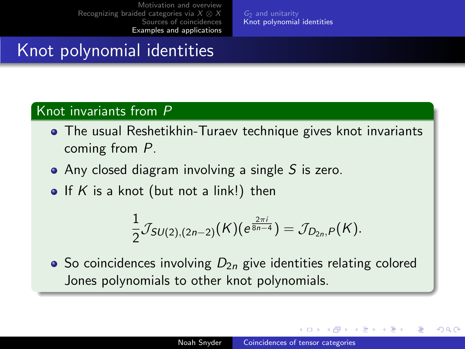$G<sub>2</sub>$  [and unitarity](#page-25-0) [Knot polynomial identities](#page-27-0)

# Knot polynomial identities

#### Knot invariants from P

- The usual Reshetikhin-Turaev technique gives knot invariants coming from P.
- $\bullet$  Any closed diagram involving a single S is zero.
- If K is a knot (but not a link!) then

$$
\frac{1}{2}\mathcal{J}_{SU(2),(2n-2)}(K)(e^{\frac{2\pi i}{8n-4}})=\mathcal{J}_{D_{2n},P}(K).
$$

 $\bullet$  So coincidences involving  $D_{2n}$  give identities relating colored Jones polynomials to other knot polynomials.

 $\leftarrow$   $\leftarrow$   $\leftarrow$   $\leftarrow$   $\leftarrow$   $\leftarrow$   $\leftarrow$   $\leftarrow$ 

<span id="page-27-0"></span>医毛囊 医心脏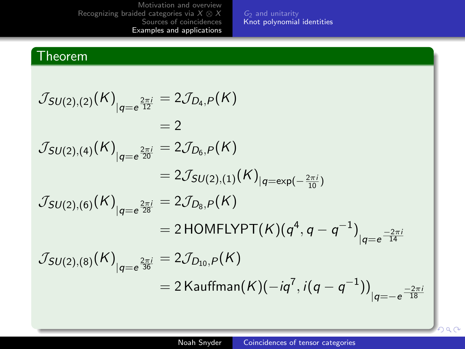G2 [and unitarity](#page-25-0) [Knot polynomial identities](#page-27-0)

#### Theorem

$$
J_{SU(2),(2)}(K)_{|q=e^{\frac{2\pi i}{12}}} = 2J_{D_4,P}(K)
$$
  
\n
$$
= 2
$$
  
\n
$$
J_{SU(2),(4)}(K)_{|q=e^{\frac{2\pi i}{20}}} = 2J_{D_6,P}(K)
$$
  
\n
$$
= 2J_{SU(2),(1)}(K)_{|q=exp(-\frac{2\pi i}{10})}
$$
  
\n
$$
J_{SU(2),(6)}(K)_{|q=e^{\frac{2\pi i}{28}}} = 2J_{D_8,P}(K)
$$
  
\n
$$
= 2 \text{ HOMFLYPT}(K)(q^4, q - q^{-1})_{|q=e^{\frac{-2\pi i}{14}}}
$$
  
\n
$$
J_{SU(2),(8)}(K)_{|q=e^{\frac{2\pi i}{36}}} = 2J_{D_{10},P}(K)
$$
  
\n
$$
= 2 \text{ Kauffman}(K)(-iq^7, i(q - q^{-1}))_{|q=-e^{\frac{-2\pi i}{18}}}
$$

bac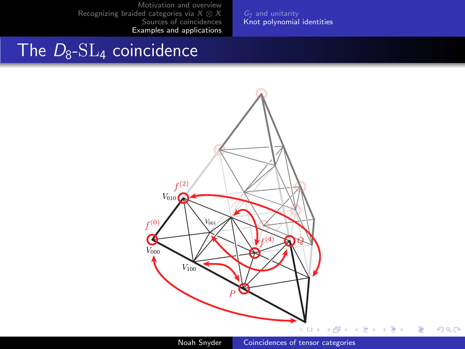G2 [and unitarity](#page-25-0) [Knot polynomial identities](#page-27-0)

## The  $D_8$ -SL<sub>4</sub> coincidence



E

 $2Q$